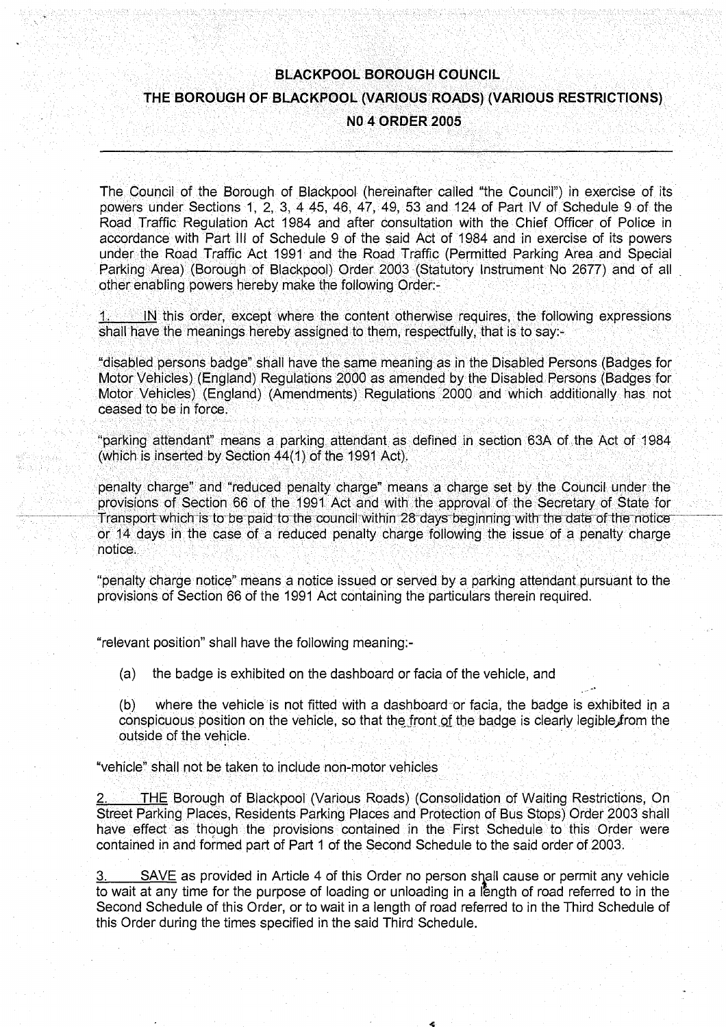# **BLACKPOOL BOROUGH COUNCIL** THE BOROUGH OF BLACKPOOL (VARIOUS ROADS) (VARIOUS RESTRICTIONS) **NO 4 ORDER 2005**

The Council of the Borough of Blackpool (hereinafter called "the Council") in exercise of its powers under Sections 1, 2, 3, 4 45, 46, 47, 49, 53 and 124 of Part IV of Schedule 9 of the Road Traffic Regulation Act 1984 and after consultation with the Chief Officer of Police in accordance with Part ill of Schedule 9 of the said Act of 1984 and in exercise of its powers under the Road Traffic Act 1991 and the Road Traffic (Permitted Parking Area and Special Parking Area) (Borough of Blackpool) Order 2003 (Statutory Instrument No 2677) and of all other enabling powers hereby make the following Order:-

1. IN this order, except where the content otherwise requires, the following expressions shall have the meanings hereby assigned to them, respectfully, that is to say:-

"disabled persons badge" shall have the same meahing as in the Disabled Persons (Badges for Motor Vehicles) (England) Regulations 2000 as amended by the Disabled Persons (Badges for Motor Vehicles) (England) (Annendmehts) Regulatibns ?2000 and which additionally has not ceased to be in force.

"parking attendant" means a parking attendant as defined in section 63A of the Act of 1984.<br>(which is inserted by Section 44(1) of the 1991 Act).

penalty charge" and "reduced penalty charge" means a charge set by the Council under the provisions of Section 66 of the 1991 Act and with the approval of the Secretary of State for Transport which is to be paid to the council within 28 days beginning with the date of the notice or 14 days in the case of a reduced penalty charge following the issue of a penalty charge notice,; -;. ; v;..". .;'.;; :. : ; ''\ : ; . -; '/';.": :'" " '.^-' -:.' ' : . ; : : '':--. : *^'•^••"^•^•^:* -': ." V. : : ;, ; : : ^ -' *:"• y : :* ,. ' *^*

"penalty charge notice" means a notice issued or served by a parking attendant pursuant to the provisions of Section 66 of the 1991 Act containing the particulars therein required.

"relevant position" shall have the following meaning;-

(a) the badge is exhibited on the dashboard or facia of the vehicle, and

(b) where the vehicle is not fitted with a dashboard or facia, the badge is exhibited in a conspicuous position on the vehicle, so that the front of the badge is clearly legible from the outside of the vehicle.

"vehicle" shall not be taken to include non-motor vehicles

THE Borough of Blackpool (Various Roads) (Consolidation of Waiting Restrictions, On Street Parking Places, Residents Parking Places and Protection of Bus Stops) Order 2003 shall have effect as though the provisions contained in the First Schedule to this Order were contained in and formed part of Part 1 of the Second Schedule to the said order of 2003.

SAVE as provided in Article 4 of this Order no person shall cause or permit any vehicle to wait at any time for the purpose of loading or unloading in a length of road referred to in the Second Schedule of this Order, or to wait in a length of road referred to in the Third Schedule of this Order during the times specified in the said Third Schedule.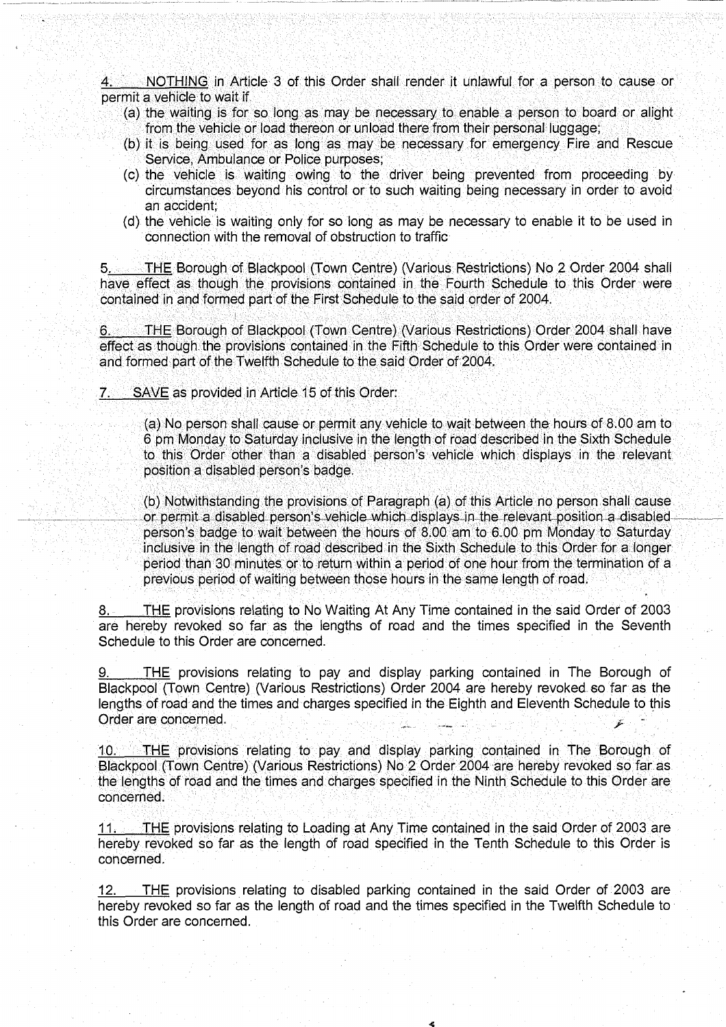NOTHING in Article 3 of this Order shall render it unlawful for a person to cause or permit a vehicle to wait if.

- (a) the waiting is for so long as may be necessary to enable a person to board or alight from the vehicle or load thereon or unload there from their personal luggage;
- (b) it is being used for as long as may be necessary for emergency Fire and Rescue Service, Ambulance or Police purposes;
- (c) the vehicle is waiting owing to the driver being prevented from proceeding by circumstances beyond his control or to such waiting being necessary in order to avoid an accident;
- (d) the vehicle is waiting only for so long as may be necessary to enable it to be used in connection with the removal of obstruction to traffic

5. THE Borough of Blackpool (Town Centre) (Various Restrictions) No 2 Order 2004 shall have effect as though the provisions contained in the Fourth Schedule to this Order were contained in and formed part of the First Schedule to the said order of 2004.

6. THE Borough of Blackpool (Town Centre) (Various Restrictions) Order 2004 shall have effect as though the provisions contained in the Fifth Schedule to this Order were contained in and formed part of the Twelfth Schedule to the said Order of 2004.

SAVE as provided in Article 15 of this Order:

(a) No person shall cause or permit any vehicle to wait between the hours of 8.00 am to 6 pm Monday to Saturday inclusive in the length of road described in the Sixth Schedule to this Order other than a disabled person's vehicle which displays in the relevant position a disabled person's badge.

(b) Notwithstanding the provisions of Paragraph (a) of this Article no person shall cause or permit a disabled person's vehicle which displays in the relevant position a disabled person's badge to wait between the hours of 8.00 am to 6.00 pm Monday to Saturday inclusive in the length of road described in the Sixth Schedule to this Order for a longer period than 30 minutes or to return within a period of one hour from the termination of a previous period of waiting between those hours in the same length of road.

8. THE provisions relating to No Waiting At Any Time contained in the said Order of 2003 are hereby revoked so far as the lengths of road and the times specified in the Seventh Schedule to this Order are concerned.

THE provisions relating to pay and display parking contained in The Borough of Blackpool (Town Centre) (Various Restrictions) Order 2004 are hereby revoked so far as the lengths of road and the times and charges specified in the Eighth and Eleventh Schedule to this Order are concerned.

THE provisions relating to pay and display parking contained in The Borough of Blackpool (Town Centre) (Various Restrictions) No 2 Order 2004 are hereby revoked so far as the lengths of road and the times and charges specified in the Ninth Schedule to this Order are concerned.

11. THE provisions relating to Loading at Any Time contained in the said Order of 2003 are hereby revoked so far as the length of road specified in the Tenth Schedule to this Order is concerned.

12. THE provisions relating to disabled parking contained in the said Order of 2003 are hereby revoked so far as the length of road and the times specified in the Twelfth Schedule to this Order are concerned.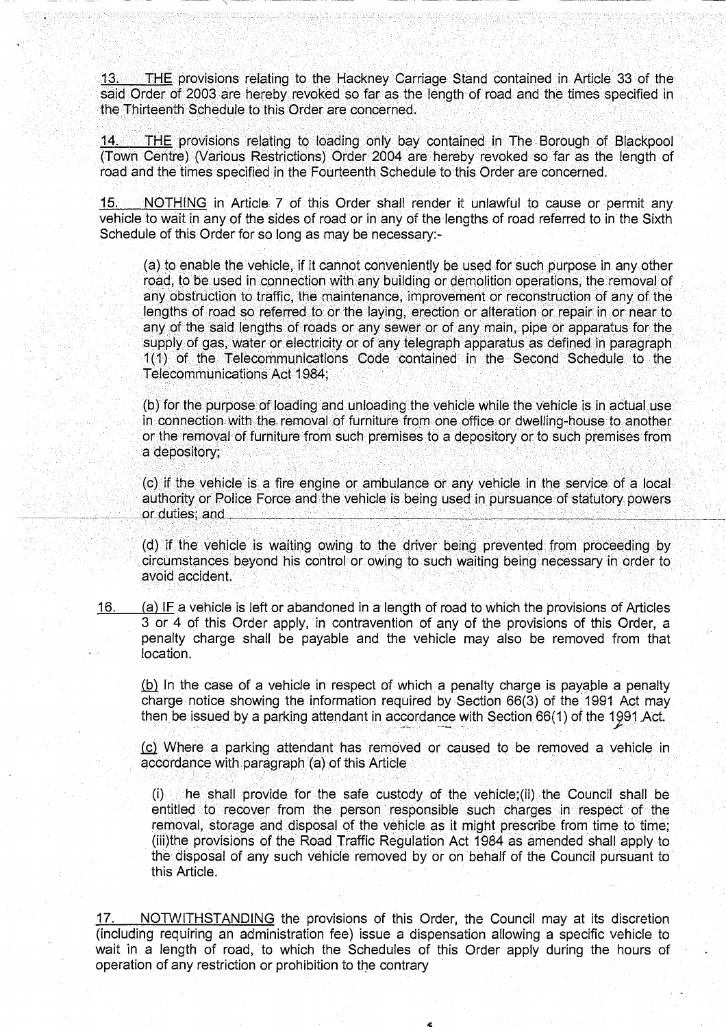$13.$ THE provisions relating to the Hackney Carriage Stand contained in Article 33 of the said Order of 2003 are hereby revoked so far as the length of road and the times specified in the Thirteenth Schedule to this Order are concerned.

.14 THE provisions relating to loading only bay contained in The Borough of Blackpool (Town Centre) (Various Restrictions) Order 2004 are hereby revoked so far as the length of road and the times specified in the Fourteenth Schedule to this Order are concerned.

15. NOTHING in Article 7 of this Order shall render it unlawful to cause or permit any vehicle to wait in any of the sides of road or in any of the lengths of road referred to in the Sixth Schedule of this Order for so long as may be necessary:-

(a) to enable the vehicle, if it cannot conveniently be used for such purpose in any other road, to be used in connection with any building or demolition operations, the removal of any obstruction to traffic, the maintenance, improvement or reconstruction of any of the lengths of road so referred to or the laying, erection or alteration or repair in or near to any of the said lengths of roads or any sewer or of any main, pipe or apparatus for the supply of gas, water or electricity or of any telegraph apparatus as defined in paragraph 1(1) of the Telecommunications Code contained in the Second Schedule to the Telecommunications Act 1984;

(b) for the purpose of loading and unloading the vehicle while the vehicle is in actual use in connection with the removal of furniture from one office or dwelling-house to another or the removal of furniture from such premises to a depository or to such premises from a depository;

 $(c)$  if the vehicle is a fire engine or ambulance or any vehicle in the service of a local authority or Police Force and the vehicle is being used in pursuance of statutory powers or duties; and

(d) if the vehicle is waiting owing to the driver being prevented from proceeding by circumstances beyond his control or owing to such waiting being necessary in order to avoid accident.

16. (a) IF a vehicle is left or abandoned in a length of road to which the provisions of Articles 3 or 4 of this Order apply, in contravention of any of the provisions of this Order, a penalty charge shall be payable and the vehicle may also be removed from that location.

(b) In the case of a vehicle in respect of which a penalty charge is payable a penalty charge notice showing the information required by Section 66(3) of the 1991 Act may then be issued by a parking attendant in accordance with Section 66(1) of the 1991 Act.

(c) Where a parking attendant has removed or caused to be removed a vehicle in accordance with paragraph (a) of this Article

(i) he shall provide for the safe custody of the vehicle;(ii) the Council shall be entitled to recover from the person responsible such charges in respect of the removal, storage and disposal of the vehicle as it might prescribe from time to time; (iii)the provisions of the Road Traffic Regulation Act 1984 as amended shall apply to the disposal of any such vehicle removed by or on behalf of the Council pursuant to this Article.

17. NOTWITHSTANDING the provisions of this Order, the Council may at its discretion (including requiring an administration fee) issue a dispensation allowing a specific vehicle to wait in a length of road, to which the Schedules of this Order apply during the hours of operation of any restriction or prohibition to the contrary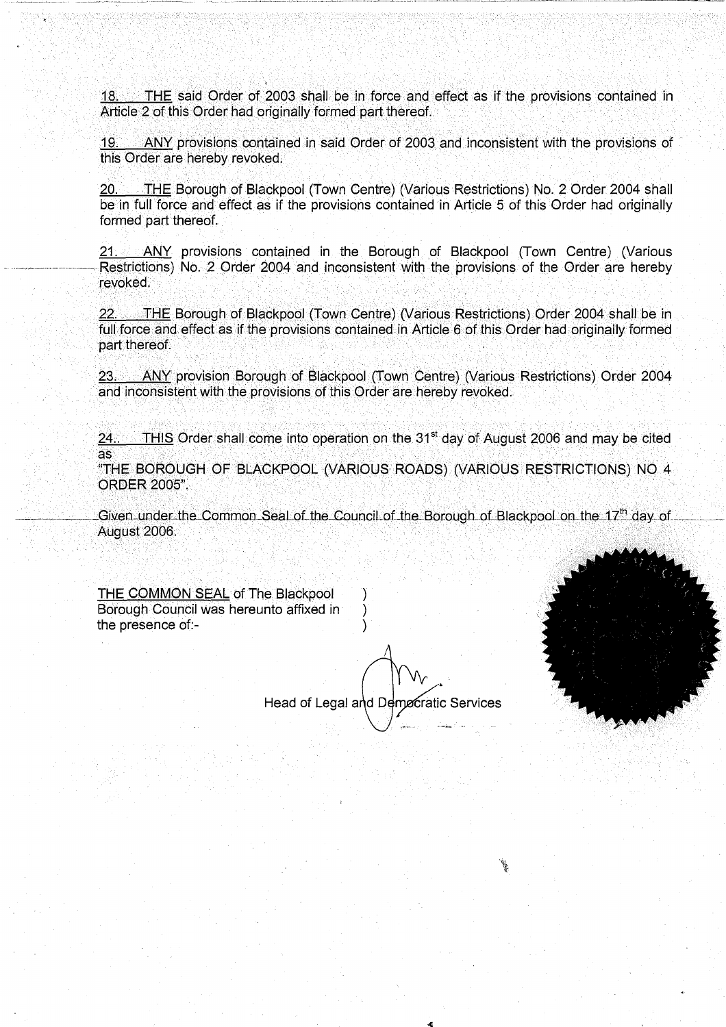18. THE said Order of 2003 shall be in force and effect as if the provisions contained in Article 2 of this Order had originally formed part thereof.

19. ANY provisions contained in said Order of 2003 and inconsistent with the provisions of this Order are hereby revoked,

20. THE Borough of Blackpool (Town Centre) (Various Restrictions) No. 2 Order 2004 shall be in full force and effect as if the provisions contained in Article 5 of this Order had originally formed part thereof,

21. ANY provisions contained in the Borough of Blackpool (Town Centre) (Various Restrictions) No. 2 Order 2004 and inconsistent with the provisions of the Order are hereby<br>revoked.

22. THE Borough of Blackpool (Town Centre) (Various Restrictions) Order 2004 shall be in full force and effect as if the provisions contained in Article 6 of this Order had originally formed part thereof.

23. ANY provision Borough of Blackpool (Town Centre) (Various Restrictions) Order 2004 and inconsistent with the provisions of this Order are hereby revoked. 23. ANY provision Borough of Blackpool (Town Centre) (Various Restrictionand inconsistent with the provisions of this Order are hereby revoked.<br>24. THIS Order shall come into operation on the 31<sup>st</sup> day of August 2006 are<br>

24. THIS Order shall come into operation on the 31<sup>st</sup> day of August 2006 and may be cited<br>as

 $\lambda$  . The  $\lambda$ Siven under the Common Sear of the Council of the Borough of Blackpool on the T7 ... day of<br>August 2006

THE COMMON SEAL of The Blackpool Borough Council was hereunto affixed in ) the presence of:-

 $\overline{\phantom{a}}$ 

Head of Legal and Demccratic Services W */*

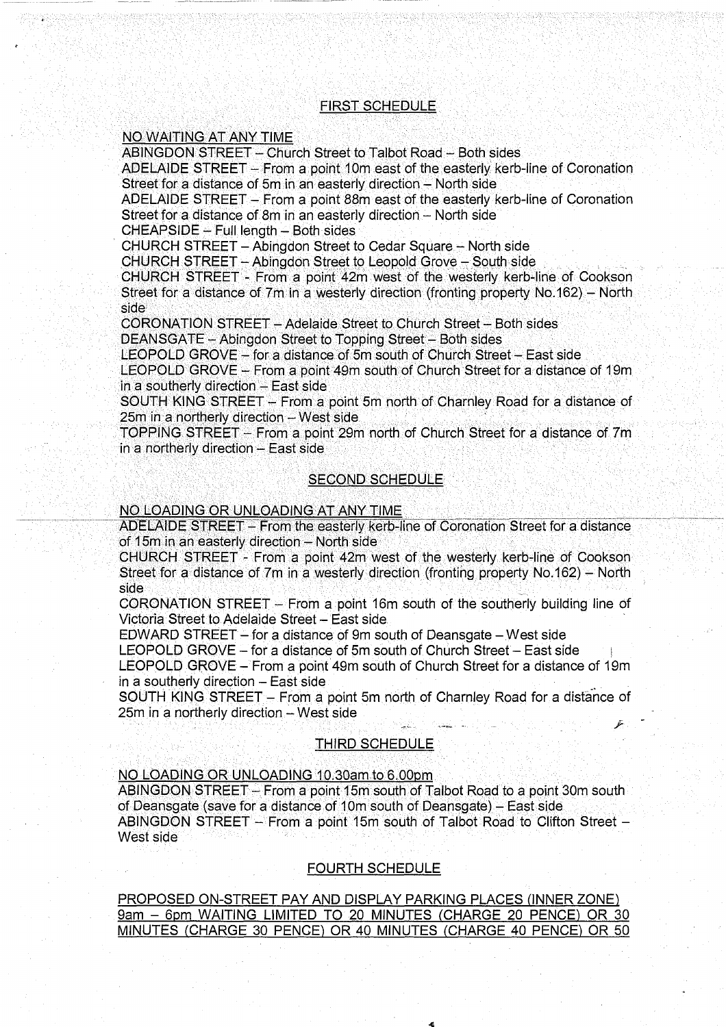#### FIRST SCHEDULE

# **NO WAITING AT ANY TIME**

ABINGDON STREET - Church Street to Talbot Road - Both sides

ADELAIDE STREET -- From a point 10m east of the easterly kerb-line of Coronation Street for a distance of 5m in an easterly direction - North side

ADELAIDE STREET - From a point 88m east of the easterly kerb-line of Coronation Street for a distance of 8m in an easterly direction - North side

 $CHEAPSIDE - Full lenath - Both sides$ 

CHURCH STREET - Abingdon Street to Cedar Square - North side

 $CHURCH$  STREET - Abingdon Street to Leopold Grove - South side

CHURCH STREET - From a point 42m west of the westerly kerb-line of Cookson Street for a distance of 7m in a westerly direction (fronting property No. 162) - North side

CORONATION STREET - Adelaide Street to Church Street - Both sides DEANSGATE - Abingdon Street to Topping Street - Both sides

LEOPOLD GROVE - for a distance of 5m south of Church Street - East side

LEOPOLD GROVE  $-$  From a point 49m south of Church Street for a distance of 19m  $i$ n a southerly direction -- East side

SOUTH KING STREET - From a point 5m north of Charnley Road for a distance of 25m in:a northerly direction - West side

**TOPPING STREET** - From a point 29m north of Church Street for a distance of 7m in a northerly direction  $-$  East side

#### SECOND SCHEDULE

#### NO LOADING OR UNLOADING AT ANY TIME

ADELAIDE STREET - From the easterly kerb-line of Coronation Street for a distance of 15 $m$  in an easterly direction  $-$  North side

CHURCH STREET - From a point 42m west of the westerly kerb-line of Cookson<br>Street for a distance of 7m in a westerly direction (fronting property No.162) – North<br>side side<br>CORONATION STREET - From a point 16m south of the southerly building line of

Victoria Street to Adelaide Street - East side

EDWARD STREET – for a distance of 9m south of Deansgate – West side

LEOPOLD GROVE - for a distance of 5m south of Church Street - East side

LEOPOLD GROVE - From a point 49m south of Church Street for a distance of 19m in a southerly direction  $-$  East side

SOUTH KING STREET - From a point 5m north of Charnley Road for a distance of  $\mathsf{25m}$  in a northerly direction – West side<br>  $\mathscr{L}$ 

#### THIRD SCHEDULE

#### NO LOADING OR UNLOADING 10.30am to 6.00pm

ABINGDON STREET - From a point 15m south of Talbot Road to a point 30m south of Deansgate (save for a distance of 10m south of Deansgate) - East side ABINGDON STREET - From a point 15m south of Talbot Road to Clifton Street -West side

#### FOURTH SCHEDULE

PROPOSED ON-STREET PAY AND DISPLAY PARKING PLACES (INNER ZONE) 9am - 6pm WAITING LIMITED TO 20 MINUTES (CHARGE 20 PENCE) OR 30 MINUTES (CHARGE 30 PENCE) OR 40 MINUTES (CHARGE 40 PENCE) OR 50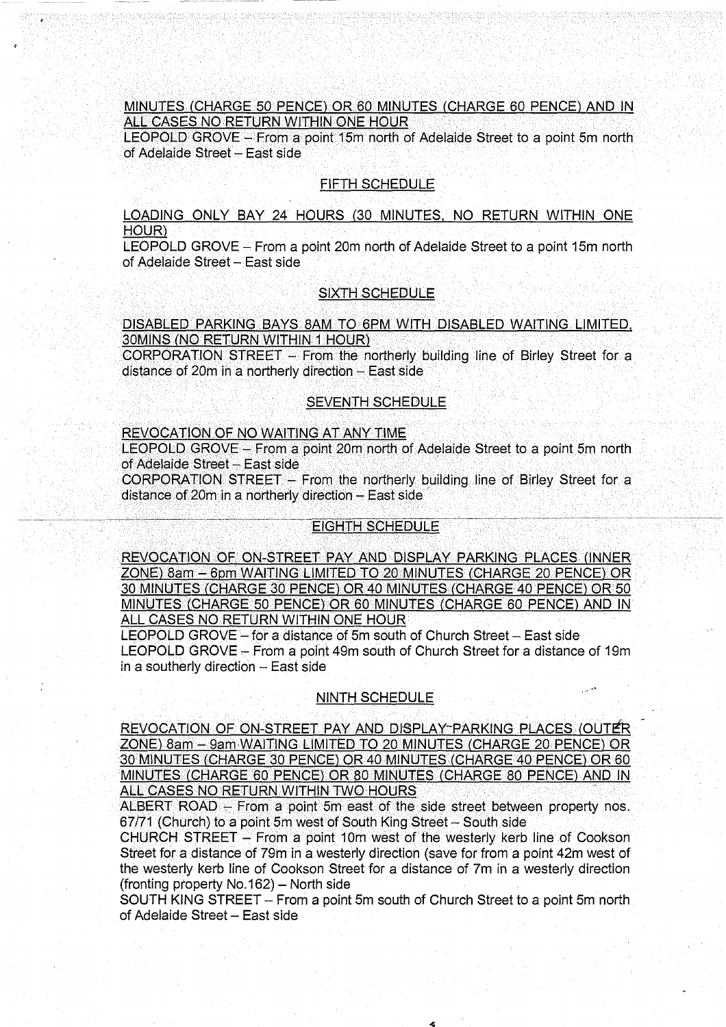## MINUTES (CHARGE 50 PENCE) OR 60 MINUTES (CHARGE 60 PENCE) AND IN <u>ALL CASES NO RETURN WITHIN ONE HOUR </u>

LEOPOLD GROVE - From a point 15m north of Adelaide Street to a point 5m north of Adelaide Street - East side

#### FIFTH SCHEDULE

LOADING ONLY BAY 24 HOURS (30 MINUTES. NO RETURN WITHIN ONE HOUR)

LEOPOLD GROVE - From a point 20m north of Adelaide Street to a point 15m north of Adelaide Street - East side

#### SIXTH SCHEDULE

DISABLED PARKING BAYS 8AM TO 6PM WITH DISABLED WAITING LIMITED, 30MINS (NO RETURN WITHIN 1 HOUR)

 $CORPORTION STREF - From the northerly building line of Birley Street for a$ distance of 20 $m$  in a northerly direction  $-$  East side

#### $SEVENTH SCHEDULE$

#### REVOCATION OF NO WAITING AT ANY TIME

 $\mathcal{L}^\mathbf{V}$ of Adelaide Street - East side

CORPORATION STREET - From the northerly building line of Birley Street for a distance of 20m in a northerly direction - East side : \

## **EIGHTH SCHEDULE**

REVOCATION OF ON-STREET PAY AND DISPLAY PARKING PLACES (INNER ZONE) 8am - 6pm WAITING LIMITED TO 20 MINUTES (CHARGE 20 PENCE) OR 30 MINUTES (CHARGE 30 PENCE) OR 40 MINUTES (CHARGE 40 PENCE) OR 50 MINUTES (CHARGE 50 PENCE) OR 60 MINUTES (CHARGE 60 PENCE) AND IN ALL CASES NO RETURN WITHIN ONE HOUR

LEOPOLD GROVE - for a distance of 5m south of Church Street - East side LEOPOLD GROVE - From a point 49m south of Church Street for a distance of 19m in a southerly direction  $-$  East side

## NINTH SCHEDULE

REVOCATION OF ON-STREET PAY AND DISPLAY-PARKING PLACES (OUTER ZONE) 8am - 9am WAITING LIMITED TO 20 MINUTES (CHARGE 20 PENCE) OR 30 MINUTES (CHARGE 30 PENCE) OR 40 MINUTES (CHARGE 40 PENCE) OR 60 MINUTES (CHARGE 60 PENCE) OR 80 MINUTES (CHARGE 80 PENCE) AND IN ALL CASES NO RETURN WITHIN TWO HOURS

ALBERT ROAD  $-$  From a point 5m east of the side street between property nos.  $67/71$  (Church) to a point 5m west of South King Street - South side

CHURCH STREET - From a point 10m west of the westerly kerb line of Cookson Street for a distance of 79m in a westerly direction (save for from a point 42m west of the westerly kerb line of Cookson Street for a distance of 7m in a westerly direction (fronting property No. 162) - North side

SOUTH KING STREET - From a point 5m south of Church Street to a point 5m north of Adelaide Street - East side